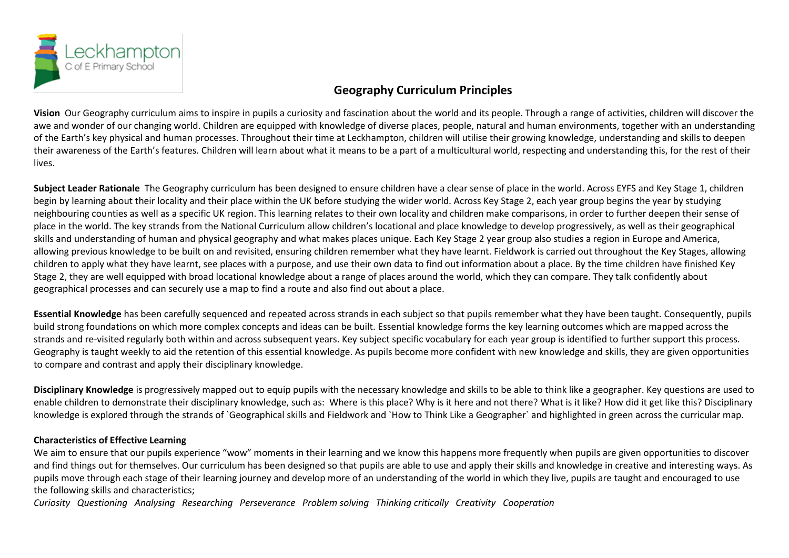

## **Geography Curriculum Principles**

**Vision** Our Geography curriculum aims to inspire in pupils a curiosity and fascination about the world and its people. Through a range of activities, children will discover the awe and wonder of our changing world. Children are equipped with knowledge of diverse places, people, natural and human environments, together with an understanding of the Earth's key physical and human processes. Throughout their time at Leckhampton, children will utilise their growing knowledge, understanding and skills to deepen their awareness of the Earth's features. Children will learn about what it means to be a part of a multicultural world, respecting and understanding this, for the rest of their lives.

**Subject Leader Rationale** The Geography curriculum has been designed to ensure children have a clear sense of place in the world. Across EYFS and Key Stage 1, children begin by learning about their locality and their place within the UK before studying the wider world. Across Key Stage 2, each year group begins the year by studying neighbouring counties as well as a specific UK region. This learning relates to their own locality and children make comparisons, in order to further deepen their sense of place in the world. The key strands from the National Curriculum allow children's locational and place knowledge to develop progressively, as well as their geographical skills and understanding of human and physical geography and what makes places unique. Each Key Stage 2 year group also studies a region in Europe and America, allowing previous knowledge to be built on and revisited, ensuring children remember what they have learnt. Fieldwork is carried out throughout the Key Stages, allowing children to apply what they have learnt, see places with a purpose, and use their own data to find out information about a place. By the time children have finished Key Stage 2, they are well equipped with broad locational knowledge about a range of places around the world, which they can compare. They talk confidently about geographical processes and can securely use a map to find a route and also find out about a place.

**Essential Knowledge** has been carefully sequenced and repeated across strands in each subject so that pupils remember what they have been taught. Consequently, pupils build strong foundations on which more complex concepts and ideas can be built. Essential knowledge forms the key learning outcomes which are mapped across the strands and re-visited regularly both within and across subsequent years. Key subject specific vocabulary for each year group is identified to further support this process. Geography is taught weekly to aid the retention of this essential knowledge. As pupils become more confident with new knowledge and skills, they are given opportunities to compare and contrast and apply their disciplinary knowledge.

**Disciplinary Knowledge** is progressively mapped out to equip pupils with the necessary knowledge and skills to be able to think like a geographer. Key questions are used to enable children to demonstrate their disciplinary knowledge, such as: Where is this place? Why is it here and not there? What is it like? How did it get like this? Disciplinary knowledge is explored through the strands of `Geographical skills and Fieldwork and `How to Think Like a Geographer` and highlighted in green across the curricular map.

## **Characteristics of Effective Learning**

We aim to ensure that our pupils experience "wow" moments in their learning and we know this happens more frequently when pupils are given opportunities to discover and find things out for themselves. Our curriculum has been designed so that pupils are able to use and apply their skills and knowledge in creative and interesting ways. As pupils move through each stage of their learning journey and develop more of an understanding of the world in which they live, pupils are taught and encouraged to use the following skills and characteristics;

*Curiosity Questioning Analysing Researching Perseverance Problem solving Thinking critically Creativity Cooperation*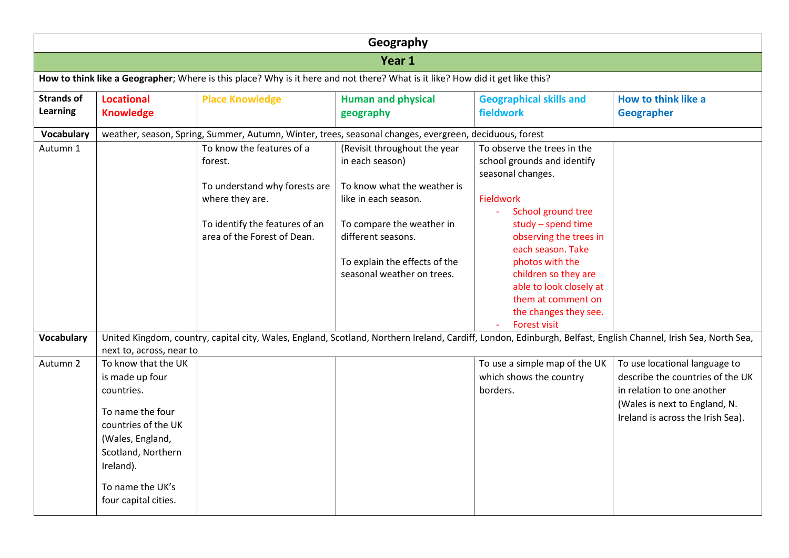|                                      | Geography                                                                                                                                                                                          |                                                                                                                               |                                                                                                                |                                                                                                                                                                                                               |                                                                                                                                                                       |  |  |  |
|--------------------------------------|----------------------------------------------------------------------------------------------------------------------------------------------------------------------------------------------------|-------------------------------------------------------------------------------------------------------------------------------|----------------------------------------------------------------------------------------------------------------|---------------------------------------------------------------------------------------------------------------------------------------------------------------------------------------------------------------|-----------------------------------------------------------------------------------------------------------------------------------------------------------------------|--|--|--|
|                                      | Year 1                                                                                                                                                                                             |                                                                                                                               |                                                                                                                |                                                                                                                                                                                                               |                                                                                                                                                                       |  |  |  |
|                                      |                                                                                                                                                                                                    | How to think like a Geographer; Where is this place? Why is it here and not there? What is it like? How did it get like this? |                                                                                                                |                                                                                                                                                                                                               |                                                                                                                                                                       |  |  |  |
| <b>Strands of</b><br><b>Learning</b> | <b>Locational</b><br><b>Knowledge</b>                                                                                                                                                              | <b>Place Knowledge</b>                                                                                                        | <b>Human and physical</b><br>geography                                                                         | <b>Geographical skills and</b><br>fieldwork                                                                                                                                                                   | How to think like a<br>Geographer                                                                                                                                     |  |  |  |
| Vocabulary                           |                                                                                                                                                                                                    | weather, season, Spring, Summer, Autumn, Winter, trees, seasonal changes, evergreen, deciduous, forest                        |                                                                                                                |                                                                                                                                                                                                               |                                                                                                                                                                       |  |  |  |
| Autumn 1                             |                                                                                                                                                                                                    | To know the features of a<br>forest.<br>To understand why forests are<br>where they are.                                      | (Revisit throughout the year<br>in each season)<br>To know what the weather is<br>like in each season.         | To observe the trees in the<br>school grounds and identify<br>seasonal changes.<br>Fieldwork<br>School ground tree                                                                                            |                                                                                                                                                                       |  |  |  |
|                                      |                                                                                                                                                                                                    | To identify the features of an<br>area of the Forest of Dean.                                                                 | To compare the weather in<br>different seasons.<br>To explain the effects of the<br>seasonal weather on trees. | study - spend time<br>observing the trees in<br>each season. Take<br>photos with the<br>children so they are<br>able to look closely at<br>them at comment on<br>the changes they see.<br><b>Forest visit</b> |                                                                                                                                                                       |  |  |  |
| <b>Vocabulary</b>                    | next to, across, near to                                                                                                                                                                           |                                                                                                                               |                                                                                                                |                                                                                                                                                                                                               | United Kingdom, country, capital city, Wales, England, Scotland, Northern Ireland, Cardiff, London, Edinburgh, Belfast, English Channel, Irish Sea, North Sea,        |  |  |  |
| Autumn 2                             | To know that the UK<br>is made up four<br>countries.<br>To name the four<br>countries of the UK<br>(Wales, England,<br>Scotland, Northern<br>Ireland).<br>To name the UK's<br>four capital cities. |                                                                                                                               |                                                                                                                | To use a simple map of the UK<br>which shows the country<br>borders.                                                                                                                                          | To use locational language to<br>describe the countries of the UK<br>in relation to one another<br>(Wales is next to England, N.<br>Ireland is across the Irish Sea). |  |  |  |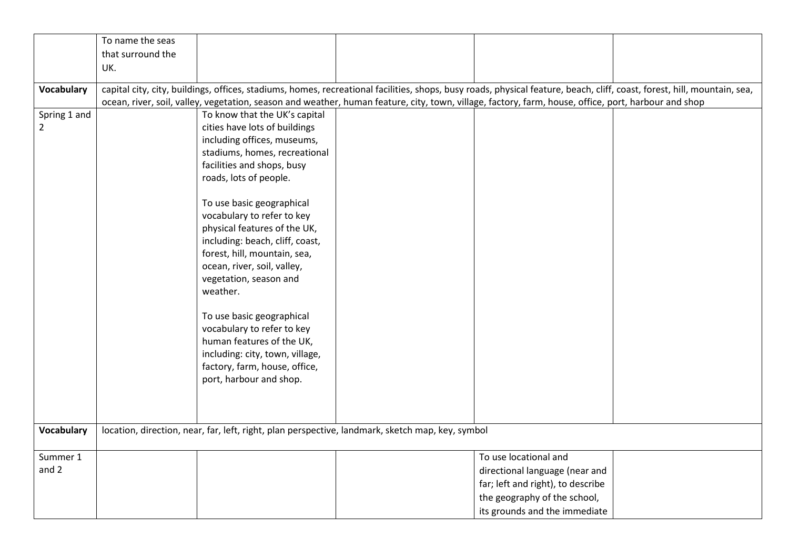|                | To name the seas  |                                                                                                                                                      |                                   |                                                                                                                                                                          |
|----------------|-------------------|------------------------------------------------------------------------------------------------------------------------------------------------------|-----------------------------------|--------------------------------------------------------------------------------------------------------------------------------------------------------------------------|
|                | that surround the |                                                                                                                                                      |                                   |                                                                                                                                                                          |
|                | UK.               |                                                                                                                                                      |                                   |                                                                                                                                                                          |
|                |                   |                                                                                                                                                      |                                   |                                                                                                                                                                          |
| Vocabulary     |                   |                                                                                                                                                      |                                   | capital city, city, buildings, offices, stadiums, homes, recreational facilities, shops, busy roads, physical feature, beach, cliff, coast, forest, hill, mountain, sea, |
|                |                   | ocean, river, soil, valley, vegetation, season and weather, human feature, city, town, village, factory, farm, house, office, port, harbour and shop |                                   |                                                                                                                                                                          |
| Spring 1 and   |                   | To know that the UK's capital                                                                                                                        |                                   |                                                                                                                                                                          |
| $\overline{2}$ |                   | cities have lots of buildings                                                                                                                        |                                   |                                                                                                                                                                          |
|                |                   | including offices, museums,                                                                                                                          |                                   |                                                                                                                                                                          |
|                |                   | stadiums, homes, recreational                                                                                                                        |                                   |                                                                                                                                                                          |
|                |                   | facilities and shops, busy                                                                                                                           |                                   |                                                                                                                                                                          |
|                |                   | roads, lots of people.                                                                                                                               |                                   |                                                                                                                                                                          |
|                |                   |                                                                                                                                                      |                                   |                                                                                                                                                                          |
|                |                   | To use basic geographical                                                                                                                            |                                   |                                                                                                                                                                          |
|                |                   | vocabulary to refer to key                                                                                                                           |                                   |                                                                                                                                                                          |
|                |                   | physical features of the UK,                                                                                                                         |                                   |                                                                                                                                                                          |
|                |                   | including: beach, cliff, coast,                                                                                                                      |                                   |                                                                                                                                                                          |
|                |                   | forest, hill, mountain, sea,                                                                                                                         |                                   |                                                                                                                                                                          |
|                |                   | ocean, river, soil, valley,                                                                                                                          |                                   |                                                                                                                                                                          |
|                |                   | vegetation, season and                                                                                                                               |                                   |                                                                                                                                                                          |
|                |                   | weather.                                                                                                                                             |                                   |                                                                                                                                                                          |
|                |                   |                                                                                                                                                      |                                   |                                                                                                                                                                          |
|                |                   | To use basic geographical                                                                                                                            |                                   |                                                                                                                                                                          |
|                |                   | vocabulary to refer to key                                                                                                                           |                                   |                                                                                                                                                                          |
|                |                   | human features of the UK,                                                                                                                            |                                   |                                                                                                                                                                          |
|                |                   | including: city, town, village,                                                                                                                      |                                   |                                                                                                                                                                          |
|                |                   | factory, farm, house, office,                                                                                                                        |                                   |                                                                                                                                                                          |
|                |                   | port, harbour and shop.                                                                                                                              |                                   |                                                                                                                                                                          |
|                |                   |                                                                                                                                                      |                                   |                                                                                                                                                                          |
|                |                   |                                                                                                                                                      |                                   |                                                                                                                                                                          |
| Vocabulary     |                   | location, direction, near, far, left, right, plan perspective, landmark, sketch map, key, symbol                                                     |                                   |                                                                                                                                                                          |
|                |                   |                                                                                                                                                      |                                   |                                                                                                                                                                          |
| Summer 1       |                   |                                                                                                                                                      | To use locational and             |                                                                                                                                                                          |
| and 2          |                   |                                                                                                                                                      | directional language (near and    |                                                                                                                                                                          |
|                |                   |                                                                                                                                                      | far; left and right), to describe |                                                                                                                                                                          |
|                |                   |                                                                                                                                                      | the geography of the school,      |                                                                                                                                                                          |
|                |                   |                                                                                                                                                      | its grounds and the immediate     |                                                                                                                                                                          |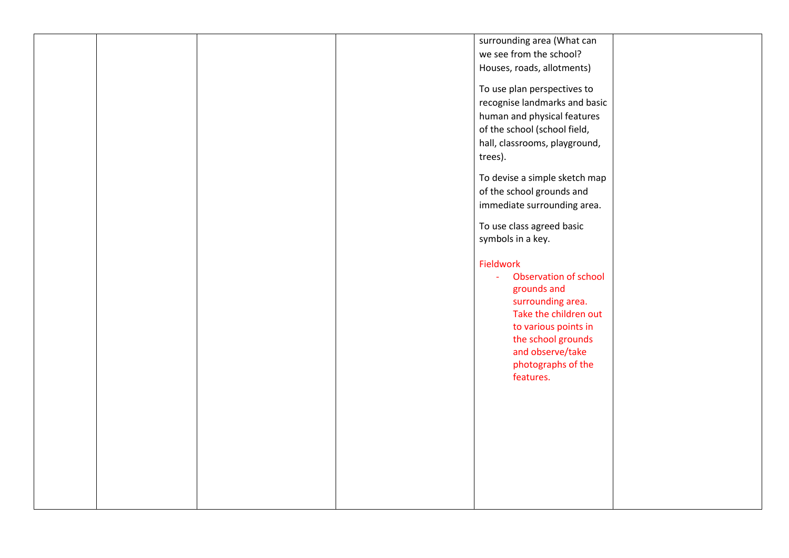|  |  | surrounding area (What can         |  |
|--|--|------------------------------------|--|
|  |  | we see from the school?            |  |
|  |  | Houses, roads, allotments)         |  |
|  |  |                                    |  |
|  |  | To use plan perspectives to        |  |
|  |  | recognise landmarks and basic      |  |
|  |  | human and physical features        |  |
|  |  | of the school (school field,       |  |
|  |  | hall, classrooms, playground,      |  |
|  |  | trees).                            |  |
|  |  |                                    |  |
|  |  | To devise a simple sketch map      |  |
|  |  | of the school grounds and          |  |
|  |  | immediate surrounding area.        |  |
|  |  | To use class agreed basic          |  |
|  |  | symbols in a key.                  |  |
|  |  |                                    |  |
|  |  | Fieldwork                          |  |
|  |  | <b>Observation of school</b><br>÷. |  |
|  |  | grounds and                        |  |
|  |  | surrounding area.                  |  |
|  |  | Take the children out              |  |
|  |  | to various points in               |  |
|  |  | the school grounds                 |  |
|  |  | and observe/take                   |  |
|  |  | photographs of the                 |  |
|  |  | features.                          |  |
|  |  |                                    |  |
|  |  |                                    |  |
|  |  |                                    |  |
|  |  |                                    |  |
|  |  |                                    |  |
|  |  |                                    |  |
|  |  |                                    |  |
|  |  |                                    |  |
|  |  |                                    |  |
|  |  |                                    |  |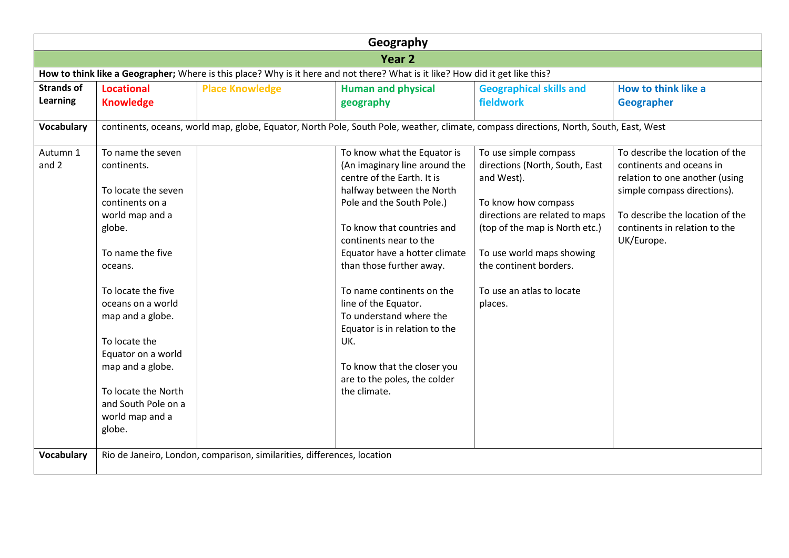|                   | Geography                 |                                                                         |                                                                                                                                       |                                |                                                               |  |  |  |  |
|-------------------|---------------------------|-------------------------------------------------------------------------|---------------------------------------------------------------------------------------------------------------------------------------|--------------------------------|---------------------------------------------------------------|--|--|--|--|
|                   | Year <sub>2</sub>         |                                                                         |                                                                                                                                       |                                |                                                               |  |  |  |  |
|                   |                           |                                                                         | How to think like a Geographer; Where is this place? Why is it here and not there? What is it like? How did it get like this?         |                                |                                                               |  |  |  |  |
| <b>Strands of</b> | <b>Locational</b>         | <b>Place Knowledge</b>                                                  | <b>Human and physical</b>                                                                                                             | <b>Geographical skills and</b> | How to think like a                                           |  |  |  |  |
| <b>Learning</b>   | <b>Knowledge</b>          |                                                                         | geography                                                                                                                             | fieldwork                      | Geographer                                                    |  |  |  |  |
| Vocabulary        |                           |                                                                         | continents, oceans, world map, globe, Equator, North Pole, South Pole, weather, climate, compass directions, North, South, East, West |                                |                                                               |  |  |  |  |
| Autumn 1          | To name the seven         |                                                                         | To know what the Equator is                                                                                                           | To use simple compass          | To describe the location of the                               |  |  |  |  |
| and 2             | continents.               |                                                                         | (An imaginary line around the                                                                                                         | directions (North, South, East | continents and oceans in                                      |  |  |  |  |
|                   | To locate the seven       |                                                                         | centre of the Earth. It is<br>halfway between the North                                                                               | and West).                     | relation to one another (using<br>simple compass directions). |  |  |  |  |
|                   | continents on a           |                                                                         | Pole and the South Pole.)                                                                                                             | To know how compass            |                                                               |  |  |  |  |
|                   | world map and a           |                                                                         |                                                                                                                                       | directions are related to maps | To describe the location of the                               |  |  |  |  |
|                   | globe.                    |                                                                         | To know that countries and<br>continents near to the                                                                                  | (top of the map is North etc.) | continents in relation to the<br>UK/Europe.                   |  |  |  |  |
|                   | To name the five          |                                                                         | Equator have a hotter climate                                                                                                         | To use world maps showing      |                                                               |  |  |  |  |
|                   | oceans.                   |                                                                         | than those further away.                                                                                                              | the continent borders.         |                                                               |  |  |  |  |
|                   | To locate the five        |                                                                         | To name continents on the                                                                                                             | To use an atlas to locate      |                                                               |  |  |  |  |
|                   | oceans on a world         |                                                                         | line of the Equator.                                                                                                                  | places.                        |                                                               |  |  |  |  |
|                   | map and a globe.          |                                                                         | To understand where the<br>Equator is in relation to the                                                                              |                                |                                                               |  |  |  |  |
|                   | To locate the             |                                                                         | UK.                                                                                                                                   |                                |                                                               |  |  |  |  |
|                   | Equator on a world        |                                                                         |                                                                                                                                       |                                |                                                               |  |  |  |  |
|                   | map and a globe.          |                                                                         | To know that the closer you                                                                                                           |                                |                                                               |  |  |  |  |
|                   |                           |                                                                         | are to the poles, the colder                                                                                                          |                                |                                                               |  |  |  |  |
|                   | To locate the North       |                                                                         | the climate.                                                                                                                          |                                |                                                               |  |  |  |  |
|                   | and South Pole on a       |                                                                         |                                                                                                                                       |                                |                                                               |  |  |  |  |
|                   | world map and a<br>globe. |                                                                         |                                                                                                                                       |                                |                                                               |  |  |  |  |
|                   |                           |                                                                         |                                                                                                                                       |                                |                                                               |  |  |  |  |
| <b>Vocabulary</b> |                           | Rio de Janeiro, London, comparison, similarities, differences, location |                                                                                                                                       |                                |                                                               |  |  |  |  |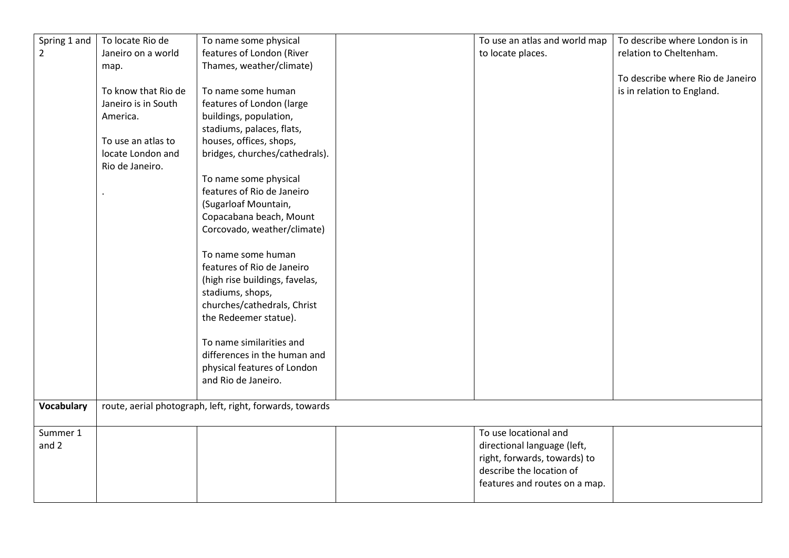| Spring 1 and      | To locate Rio de    | To name some physical                                    | To use an atlas and world map | To describe where London is in   |
|-------------------|---------------------|----------------------------------------------------------|-------------------------------|----------------------------------|
| $\overline{2}$    | Janeiro on a world  | features of London (River                                | to locate places.             | relation to Cheltenham.          |
|                   | map.                | Thames, weather/climate)                                 |                               |                                  |
|                   |                     |                                                          |                               | To describe where Rio de Janeiro |
|                   | To know that Rio de | To name some human                                       |                               | is in relation to England.       |
|                   | Janeiro is in South | features of London (large                                |                               |                                  |
|                   | America.            | buildings, population,                                   |                               |                                  |
|                   |                     | stadiums, palaces, flats,                                |                               |                                  |
|                   | To use an atlas to  | houses, offices, shops,                                  |                               |                                  |
|                   | locate London and   | bridges, churches/cathedrals).                           |                               |                                  |
|                   | Rio de Janeiro.     |                                                          |                               |                                  |
|                   |                     | To name some physical                                    |                               |                                  |
|                   |                     | features of Rio de Janeiro                               |                               |                                  |
|                   |                     | (Sugarloaf Mountain,                                     |                               |                                  |
|                   |                     | Copacabana beach, Mount                                  |                               |                                  |
|                   |                     | Corcovado, weather/climate)                              |                               |                                  |
|                   |                     |                                                          |                               |                                  |
|                   |                     | To name some human                                       |                               |                                  |
|                   |                     | features of Rio de Janeiro                               |                               |                                  |
|                   |                     | (high rise buildings, favelas,                           |                               |                                  |
|                   |                     | stadiums, shops,                                         |                               |                                  |
|                   |                     | churches/cathedrals, Christ                              |                               |                                  |
|                   |                     | the Redeemer statue).                                    |                               |                                  |
|                   |                     | To name similarities and                                 |                               |                                  |
|                   |                     | differences in the human and                             |                               |                                  |
|                   |                     | physical features of London                              |                               |                                  |
|                   |                     | and Rio de Janeiro.                                      |                               |                                  |
|                   |                     |                                                          |                               |                                  |
| <b>Vocabulary</b> |                     | route, aerial photograph, left, right, forwards, towards |                               |                                  |
|                   |                     |                                                          |                               |                                  |
| Summer 1          |                     |                                                          | To use locational and         |                                  |
| and 2             |                     |                                                          | directional language (left,   |                                  |
|                   |                     |                                                          | right, forwards, towards) to  |                                  |
|                   |                     |                                                          | describe the location of      |                                  |
|                   |                     |                                                          | features and routes on a map. |                                  |
|                   |                     |                                                          |                               |                                  |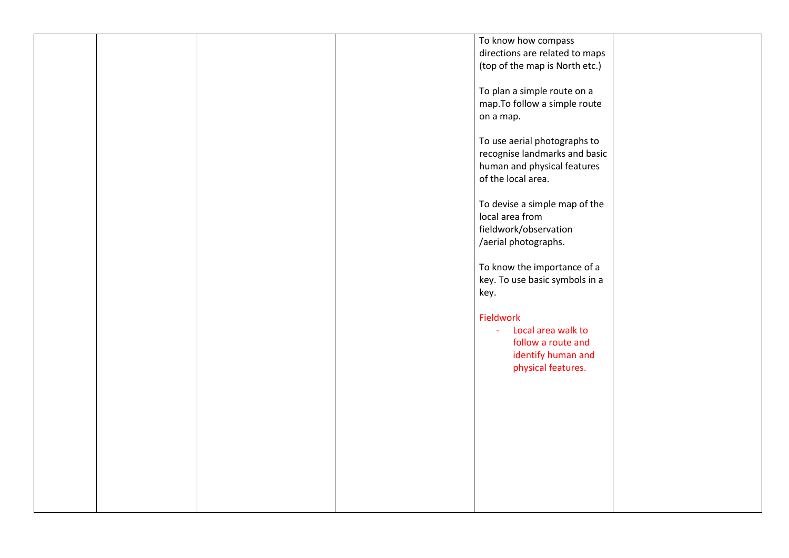|  |  | To know how compass                  |  |
|--|--|--------------------------------------|--|
|  |  | directions are related to maps       |  |
|  |  |                                      |  |
|  |  | (top of the map is North etc.)       |  |
|  |  |                                      |  |
|  |  | To plan a simple route on a          |  |
|  |  |                                      |  |
|  |  | map. To follow a simple route        |  |
|  |  | on a map.                            |  |
|  |  |                                      |  |
|  |  |                                      |  |
|  |  | To use aerial photographs to         |  |
|  |  | recognise landmarks and basic        |  |
|  |  |                                      |  |
|  |  | human and physical features          |  |
|  |  | of the local area.                   |  |
|  |  |                                      |  |
|  |  |                                      |  |
|  |  | To devise a simple map of the        |  |
|  |  | local area from                      |  |
|  |  | fieldwork/observation                |  |
|  |  |                                      |  |
|  |  | /aerial photographs.                 |  |
|  |  |                                      |  |
|  |  | To know the importance of a          |  |
|  |  |                                      |  |
|  |  | key. To use basic symbols in a       |  |
|  |  | key.                                 |  |
|  |  |                                      |  |
|  |  |                                      |  |
|  |  | Fieldwork                            |  |
|  |  | Local area walk to<br>$\blacksquare$ |  |
|  |  | follow a route and                   |  |
|  |  |                                      |  |
|  |  | identify human and                   |  |
|  |  | physical features.                   |  |
|  |  |                                      |  |
|  |  |                                      |  |
|  |  |                                      |  |
|  |  |                                      |  |
|  |  |                                      |  |
|  |  |                                      |  |
|  |  |                                      |  |
|  |  |                                      |  |
|  |  |                                      |  |
|  |  |                                      |  |
|  |  |                                      |  |
|  |  |                                      |  |
|  |  |                                      |  |
|  |  |                                      |  |
|  |  |                                      |  |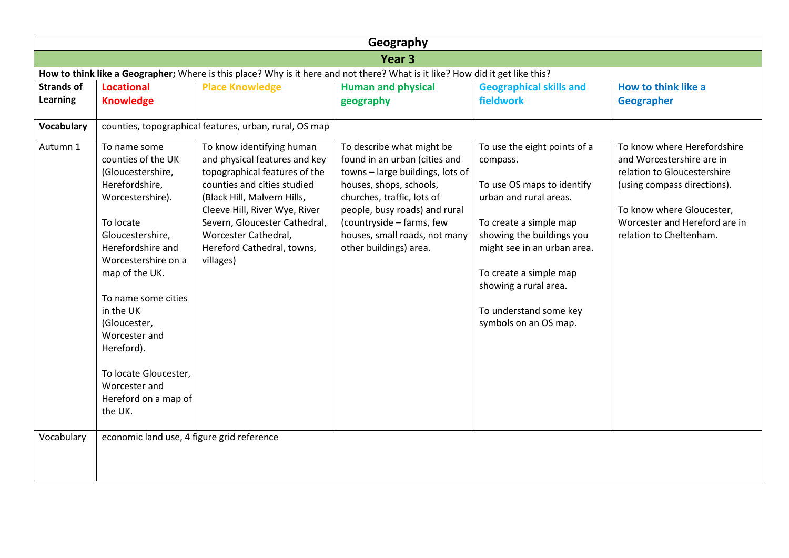|                   | Geography                                                                                                                                                                                                                                                                                                                                                    |                                                                                                                                                                                                                                                                                                |                                                                                                                                                                                                                                                                                  |                                                                                                                                                                                                                                                                                              |                                                                                                                                                                                                                 |  |  |  |
|-------------------|--------------------------------------------------------------------------------------------------------------------------------------------------------------------------------------------------------------------------------------------------------------------------------------------------------------------------------------------------------------|------------------------------------------------------------------------------------------------------------------------------------------------------------------------------------------------------------------------------------------------------------------------------------------------|----------------------------------------------------------------------------------------------------------------------------------------------------------------------------------------------------------------------------------------------------------------------------------|----------------------------------------------------------------------------------------------------------------------------------------------------------------------------------------------------------------------------------------------------------------------------------------------|-----------------------------------------------------------------------------------------------------------------------------------------------------------------------------------------------------------------|--|--|--|
|                   | Year <sub>3</sub>                                                                                                                                                                                                                                                                                                                                            |                                                                                                                                                                                                                                                                                                |                                                                                                                                                                                                                                                                                  |                                                                                                                                                                                                                                                                                              |                                                                                                                                                                                                                 |  |  |  |
|                   | How to think like a Geographer; Where is this place? Why is it here and not there? What is it like? How did it get like this?                                                                                                                                                                                                                                |                                                                                                                                                                                                                                                                                                |                                                                                                                                                                                                                                                                                  |                                                                                                                                                                                                                                                                                              |                                                                                                                                                                                                                 |  |  |  |
| <b>Strands of</b> | <b>Locational</b>                                                                                                                                                                                                                                                                                                                                            | <b>Place Knowledge</b>                                                                                                                                                                                                                                                                         | <b>Human and physical</b>                                                                                                                                                                                                                                                        | <b>Geographical skills and</b>                                                                                                                                                                                                                                                               | How to think like a                                                                                                                                                                                             |  |  |  |
| Learning          | <b>Knowledge</b>                                                                                                                                                                                                                                                                                                                                             |                                                                                                                                                                                                                                                                                                | geography                                                                                                                                                                                                                                                                        | fieldwork                                                                                                                                                                                                                                                                                    | <b>Geographer</b>                                                                                                                                                                                               |  |  |  |
| <b>Vocabulary</b> |                                                                                                                                                                                                                                                                                                                                                              | counties, topographical features, urban, rural, OS map                                                                                                                                                                                                                                         |                                                                                                                                                                                                                                                                                  |                                                                                                                                                                                                                                                                                              |                                                                                                                                                                                                                 |  |  |  |
| Autumn 1          | To name some<br>counties of the UK<br>(Gloucestershire,<br>Herefordshire,<br>Worcestershire).<br>To locate<br>Gloucestershire,<br>Herefordshire and<br>Worcestershire on a<br>map of the UK.<br>To name some cities<br>in the UK<br>(Gloucester,<br>Worcester and<br>Hereford).<br>To locate Gloucester,<br>Worcester and<br>Hereford on a map of<br>the UK. | To know identifying human<br>and physical features and key<br>topographical features of the<br>counties and cities studied<br>(Black Hill, Malvern Hills,<br>Cleeve Hill, River Wye, River<br>Severn, Gloucester Cathedral,<br>Worcester Cathedral,<br>Hereford Cathedral, towns,<br>villages) | To describe what might be<br>found in an urban (cities and<br>towns - large buildings, lots of<br>houses, shops, schools,<br>churches, traffic, lots of<br>people, busy roads) and rural<br>(countryside - farms, few<br>houses, small roads, not many<br>other buildings) area. | To use the eight points of a<br>compass.<br>To use OS maps to identify<br>urban and rural areas.<br>To create a simple map<br>showing the buildings you<br>might see in an urban area.<br>To create a simple map<br>showing a rural area.<br>To understand some key<br>symbols on an OS map. | To know where Herefordshire<br>and Worcestershire are in<br>relation to Gloucestershire<br>(using compass directions).<br>To know where Gloucester,<br>Worcester and Hereford are in<br>relation to Cheltenham. |  |  |  |
| Vocabulary        | economic land use, 4 figure grid reference                                                                                                                                                                                                                                                                                                                   |                                                                                                                                                                                                                                                                                                |                                                                                                                                                                                                                                                                                  |                                                                                                                                                                                                                                                                                              |                                                                                                                                                                                                                 |  |  |  |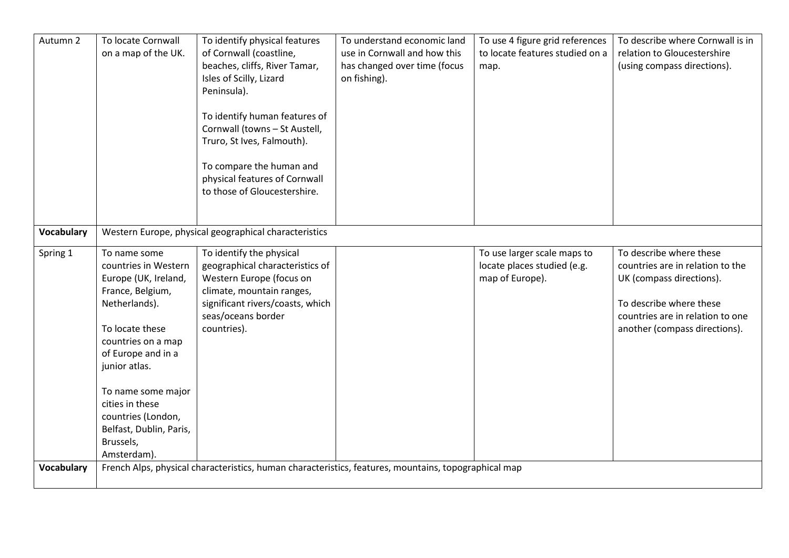| Autumn 2               | To locate Cornwall<br>on a map of the UK.                                                                                                                                                                                                                                                               | To identify physical features<br>of Cornwall (coastline,<br>beaches, cliffs, River Tamar,<br>Isles of Scilly, Lizard<br>Peninsula).<br>To identify human features of<br>Cornwall (towns - St Austell,<br>Truro, St Ives, Falmouth).<br>To compare the human and<br>physical features of Cornwall<br>to those of Gloucestershire. | To understand economic land<br>use in Cornwall and how this<br>has changed over time (focus<br>on fishing). | To use 4 figure grid references<br>to locate features studied on a<br>map.    | To describe where Cornwall is in<br>relation to Gloucestershire<br>(using compass directions).                                                                                          |
|------------------------|---------------------------------------------------------------------------------------------------------------------------------------------------------------------------------------------------------------------------------------------------------------------------------------------------------|----------------------------------------------------------------------------------------------------------------------------------------------------------------------------------------------------------------------------------------------------------------------------------------------------------------------------------|-------------------------------------------------------------------------------------------------------------|-------------------------------------------------------------------------------|-----------------------------------------------------------------------------------------------------------------------------------------------------------------------------------------|
| Vocabulary             |                                                                                                                                                                                                                                                                                                         | Western Europe, physical geographical characteristics                                                                                                                                                                                                                                                                            |                                                                                                             |                                                                               |                                                                                                                                                                                         |
| Spring 1<br>Vocabulary | To name some<br>countries in Western<br>Europe (UK, Ireland,<br>France, Belgium,<br>Netherlands).<br>To locate these<br>countries on a map<br>of Europe and in a<br>junior atlas.<br>To name some major<br>cities in these<br>countries (London,<br>Belfast, Dublin, Paris,<br>Brussels,<br>Amsterdam). | To identify the physical<br>geographical characteristics of<br>Western Europe (focus on<br>climate, mountain ranges,<br>significant rivers/coasts, which<br>seas/oceans border<br>countries).<br>French Alps, physical characteristics, human characteristics, features, mountains, topographical map                            |                                                                                                             | To use larger scale maps to<br>locate places studied (e.g.<br>map of Europe). | To describe where these<br>countries are in relation to the<br>UK (compass directions).<br>To describe where these<br>countries are in relation to one<br>another (compass directions). |
|                        |                                                                                                                                                                                                                                                                                                         |                                                                                                                                                                                                                                                                                                                                  |                                                                                                             |                                                                               |                                                                                                                                                                                         |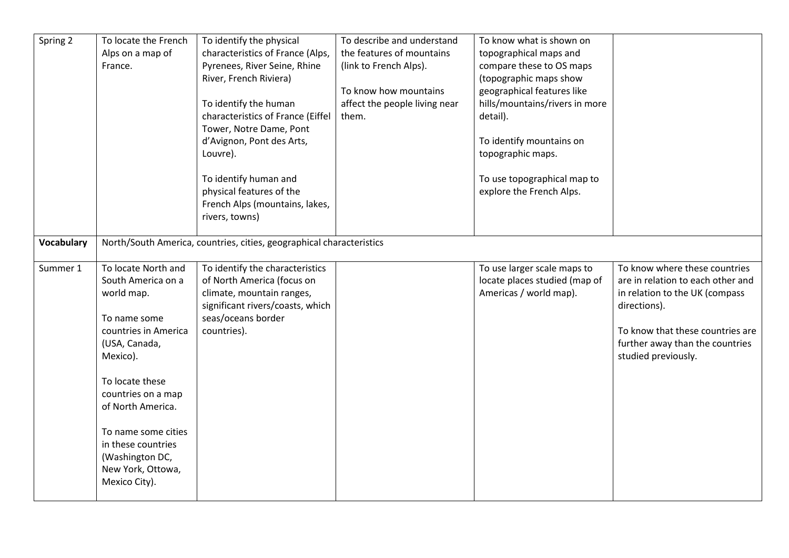| Spring 2   | To locate the French<br>Alps on a map of<br>France.                                                                                                                                                                                                                                              | To identify the physical<br>characteristics of France (Alps,<br>Pyrenees, River Seine, Rhine<br>River, French Riviera)<br>To identify the human<br>characteristics of France (Eiffel<br>Tower, Notre Dame, Pont<br>d'Avignon, Pont des Arts,<br>Louvre).<br>To identify human and<br>physical features of the<br>French Alps (mountains, lakes,<br>rivers, towns) | To describe and understand<br>the features of mountains<br>(link to French Alps).<br>To know how mountains<br>affect the people living near<br>them. | To know what is shown on<br>topographical maps and<br>compare these to OS maps<br>(topographic maps show<br>geographical features like<br>hills/mountains/rivers in more<br>detail).<br>To identify mountains on<br>topographic maps.<br>To use topographical map to<br>explore the French Alps. |                                                                                                                                                                                                                    |
|------------|--------------------------------------------------------------------------------------------------------------------------------------------------------------------------------------------------------------------------------------------------------------------------------------------------|-------------------------------------------------------------------------------------------------------------------------------------------------------------------------------------------------------------------------------------------------------------------------------------------------------------------------------------------------------------------|------------------------------------------------------------------------------------------------------------------------------------------------------|--------------------------------------------------------------------------------------------------------------------------------------------------------------------------------------------------------------------------------------------------------------------------------------------------|--------------------------------------------------------------------------------------------------------------------------------------------------------------------------------------------------------------------|
| Vocabulary |                                                                                                                                                                                                                                                                                                  | North/South America, countries, cities, geographical characteristics                                                                                                                                                                                                                                                                                              |                                                                                                                                                      |                                                                                                                                                                                                                                                                                                  |                                                                                                                                                                                                                    |
| Summer 1   | To locate North and<br>South America on a<br>world map.<br>To name some<br>countries in America<br>(USA, Canada,<br>Mexico).<br>To locate these<br>countries on a map<br>of North America.<br>To name some cities<br>in these countries<br>(Washington DC,<br>New York, Ottowa,<br>Mexico City). | To identify the characteristics<br>of North America (focus on<br>climate, mountain ranges,<br>significant rivers/coasts, which<br>seas/oceans border<br>countries).                                                                                                                                                                                               |                                                                                                                                                      | To use larger scale maps to<br>locate places studied (map of<br>Americas / world map).                                                                                                                                                                                                           | To know where these countries<br>are in relation to each other and<br>in relation to the UK (compass<br>directions).<br>To know that these countries are<br>further away than the countries<br>studied previously. |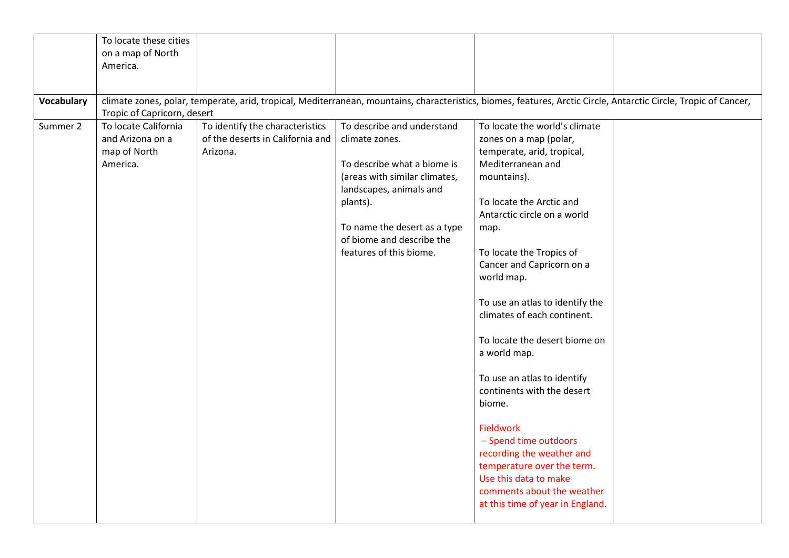|                   | To locate these cities      |                                  |                                                          |                                  |                                                                                                                                                                  |
|-------------------|-----------------------------|----------------------------------|----------------------------------------------------------|----------------------------------|------------------------------------------------------------------------------------------------------------------------------------------------------------------|
|                   | on a map of North           |                                  |                                                          |                                  |                                                                                                                                                                  |
|                   | America.                    |                                  |                                                          |                                  |                                                                                                                                                                  |
|                   |                             |                                  |                                                          |                                  |                                                                                                                                                                  |
| <b>Vocabulary</b> |                             |                                  |                                                          |                                  | climate zones, polar, temperate, arid, tropical, Mediterranean, mountains, characteristics, biomes, features, Arctic Circle, Antarctic Circle, Tropic of Cancer, |
|                   | Tropic of Capricorn, desert |                                  |                                                          |                                  |                                                                                                                                                                  |
| Summer 2          | To locate California        | To identify the characteristics  | To describe and understand                               | To locate the world's climate    |                                                                                                                                                                  |
|                   | and Arizona on a            | of the deserts in California and | climate zones.                                           | zones on a map (polar,           |                                                                                                                                                                  |
|                   | map of North                | Arizona.                         |                                                          | temperate, arid, tropical,       |                                                                                                                                                                  |
|                   | America.                    |                                  | To describe what a biome is                              | Mediterranean and                |                                                                                                                                                                  |
|                   |                             |                                  | (areas with similar climates,<br>landscapes, animals and | mountains).                      |                                                                                                                                                                  |
|                   |                             |                                  | plants).                                                 | To locate the Arctic and         |                                                                                                                                                                  |
|                   |                             |                                  |                                                          | Antarctic circle on a world      |                                                                                                                                                                  |
|                   |                             |                                  | To name the desert as a type                             | map.                             |                                                                                                                                                                  |
|                   |                             |                                  | of biome and describe the                                |                                  |                                                                                                                                                                  |
|                   |                             |                                  | features of this biome.                                  | To locate the Tropics of         |                                                                                                                                                                  |
|                   |                             |                                  |                                                          | Cancer and Capricorn on a        |                                                                                                                                                                  |
|                   |                             |                                  |                                                          | world map.                       |                                                                                                                                                                  |
|                   |                             |                                  |                                                          | To use an atlas to identify the  |                                                                                                                                                                  |
|                   |                             |                                  |                                                          | climates of each continent.      |                                                                                                                                                                  |
|                   |                             |                                  |                                                          |                                  |                                                                                                                                                                  |
|                   |                             |                                  |                                                          | To locate the desert biome on    |                                                                                                                                                                  |
|                   |                             |                                  |                                                          | a world map.                     |                                                                                                                                                                  |
|                   |                             |                                  |                                                          | To use an atlas to identify      |                                                                                                                                                                  |
|                   |                             |                                  |                                                          | continents with the desert       |                                                                                                                                                                  |
|                   |                             |                                  |                                                          | biome.                           |                                                                                                                                                                  |
|                   |                             |                                  |                                                          |                                  |                                                                                                                                                                  |
|                   |                             |                                  |                                                          | Fieldwork                        |                                                                                                                                                                  |
|                   |                             |                                  |                                                          | - Spend time outdoors            |                                                                                                                                                                  |
|                   |                             |                                  |                                                          | recording the weather and        |                                                                                                                                                                  |
|                   |                             |                                  |                                                          | temperature over the term.       |                                                                                                                                                                  |
|                   |                             |                                  |                                                          | Use this data to make            |                                                                                                                                                                  |
|                   |                             |                                  |                                                          | comments about the weather       |                                                                                                                                                                  |
|                   |                             |                                  |                                                          | at this time of year in England. |                                                                                                                                                                  |
|                   |                             |                                  |                                                          |                                  |                                                                                                                                                                  |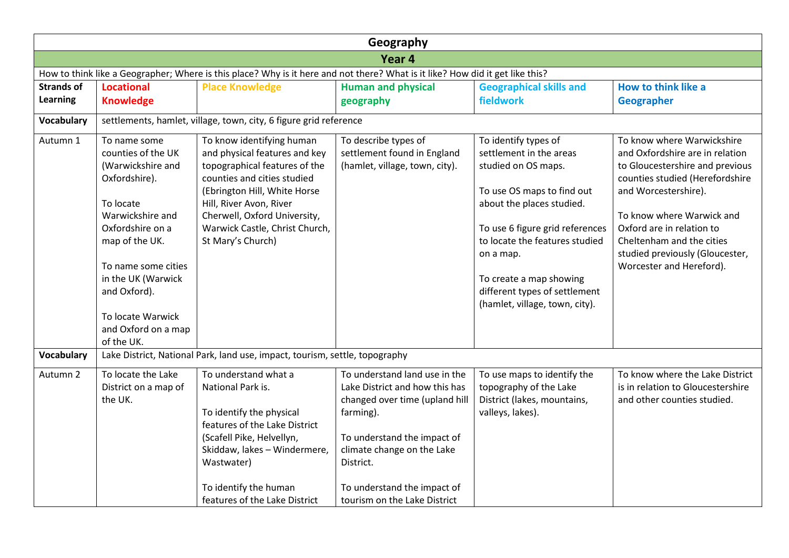|                   | Geography                                                                                                                                                                                                                                                |                                                                                                                                                                                                                                                                              |                                                                                                                                                                                                                         |                                                                                                                                                                                                                                                                                                                   |                                                                                                                                                                                                                                                                                                                   |  |  |  |
|-------------------|----------------------------------------------------------------------------------------------------------------------------------------------------------------------------------------------------------------------------------------------------------|------------------------------------------------------------------------------------------------------------------------------------------------------------------------------------------------------------------------------------------------------------------------------|-------------------------------------------------------------------------------------------------------------------------------------------------------------------------------------------------------------------------|-------------------------------------------------------------------------------------------------------------------------------------------------------------------------------------------------------------------------------------------------------------------------------------------------------------------|-------------------------------------------------------------------------------------------------------------------------------------------------------------------------------------------------------------------------------------------------------------------------------------------------------------------|--|--|--|
|                   | Year 4                                                                                                                                                                                                                                                   |                                                                                                                                                                                                                                                                              |                                                                                                                                                                                                                         |                                                                                                                                                                                                                                                                                                                   |                                                                                                                                                                                                                                                                                                                   |  |  |  |
|                   | How to think like a Geographer; Where is this place? Why is it here and not there? What is it like? How did it get like this?                                                                                                                            |                                                                                                                                                                                                                                                                              |                                                                                                                                                                                                                         |                                                                                                                                                                                                                                                                                                                   |                                                                                                                                                                                                                                                                                                                   |  |  |  |
| <b>Strands of</b> | <b>Locational</b>                                                                                                                                                                                                                                        | <b>Place Knowledge</b>                                                                                                                                                                                                                                                       | <b>Human and physical</b>                                                                                                                                                                                               | <b>Geographical skills and</b>                                                                                                                                                                                                                                                                                    | How to think like a                                                                                                                                                                                                                                                                                               |  |  |  |
| <b>Learning</b>   | <b>Knowledge</b>                                                                                                                                                                                                                                         |                                                                                                                                                                                                                                                                              | geography                                                                                                                                                                                                               | fieldwork                                                                                                                                                                                                                                                                                                         | <b>Geographer</b>                                                                                                                                                                                                                                                                                                 |  |  |  |
| Vocabulary        |                                                                                                                                                                                                                                                          | settlements, hamlet, village, town, city, 6 figure grid reference                                                                                                                                                                                                            |                                                                                                                                                                                                                         |                                                                                                                                                                                                                                                                                                                   |                                                                                                                                                                                                                                                                                                                   |  |  |  |
| Autumn 1          | To name some<br>counties of the UK<br>(Warwickshire and<br>Oxfordshire).<br>To locate<br>Warwickshire and<br>Oxfordshire on a<br>map of the UK.<br>To name some cities<br>in the UK (Warwick<br>and Oxford).<br>To locate Warwick<br>and Oxford on a map | To know identifying human<br>and physical features and key<br>topographical features of the<br>counties and cities studied<br>(Ebrington Hill, White Horse<br>Hill, River Avon, River<br>Cherwell, Oxford University,<br>Warwick Castle, Christ Church,<br>St Mary's Church) | To describe types of<br>settlement found in England<br>(hamlet, village, town, city).                                                                                                                                   | To identify types of<br>settlement in the areas<br>studied on OS maps.<br>To use OS maps to find out<br>about the places studied.<br>To use 6 figure grid references<br>to locate the features studied<br>on a map.<br>To create a map showing<br>different types of settlement<br>(hamlet, village, town, city). | To know where Warwickshire<br>and Oxfordshire are in relation<br>to Gloucestershire and previous<br>counties studied (Herefordshire<br>and Worcestershire).<br>To know where Warwick and<br>Oxford are in relation to<br>Cheltenham and the cities<br>studied previously (Gloucester,<br>Worcester and Hereford). |  |  |  |
| Vocabulary        | of the UK.                                                                                                                                                                                                                                               | Lake District, National Park, land use, impact, tourism, settle, topography                                                                                                                                                                                                  |                                                                                                                                                                                                                         |                                                                                                                                                                                                                                                                                                                   |                                                                                                                                                                                                                                                                                                                   |  |  |  |
| Autumn 2          | To locate the Lake<br>District on a map of<br>the UK.                                                                                                                                                                                                    | To understand what a<br>National Park is.<br>To identify the physical<br>features of the Lake District<br>(Scafell Pike, Helvellyn,<br>Skiddaw, lakes - Windermere,<br>Wastwater)<br>To identify the human                                                                   | To understand land use in the<br>Lake District and how this has<br>changed over time (upland hill<br>farming).<br>To understand the impact of<br>climate change on the Lake<br>District.<br>To understand the impact of | To use maps to identify the<br>topography of the Lake<br>District (lakes, mountains,<br>valleys, lakes).                                                                                                                                                                                                          | To know where the Lake District<br>is in relation to Gloucestershire<br>and other counties studied.                                                                                                                                                                                                               |  |  |  |
|                   |                                                                                                                                                                                                                                                          | features of the Lake District                                                                                                                                                                                                                                                | tourism on the Lake District                                                                                                                                                                                            |                                                                                                                                                                                                                                                                                                                   |                                                                                                                                                                                                                                                                                                                   |  |  |  |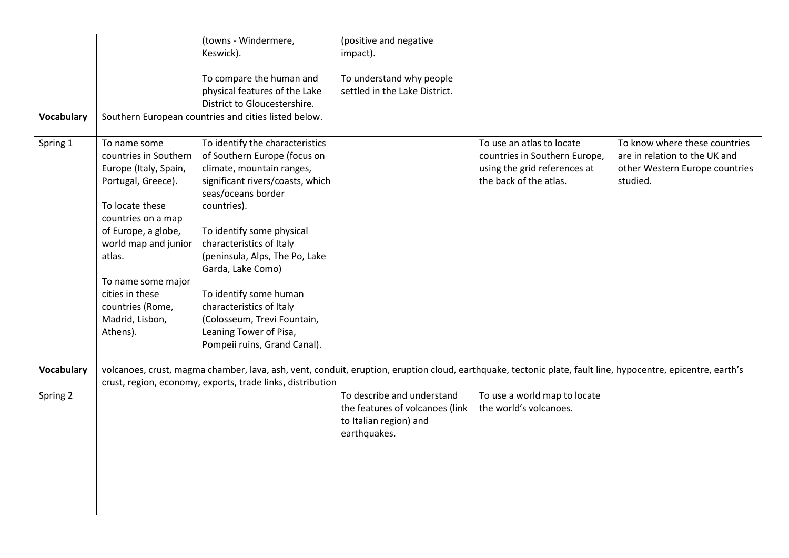|                   |                       | (towns - Windermere,                                                                                                                                        | (positive and negative          |                               |                                |
|-------------------|-----------------------|-------------------------------------------------------------------------------------------------------------------------------------------------------------|---------------------------------|-------------------------------|--------------------------------|
|                   |                       | Keswick).                                                                                                                                                   | impact).                        |                               |                                |
|                   |                       |                                                                                                                                                             |                                 |                               |                                |
|                   |                       | To compare the human and                                                                                                                                    | To understand why people        |                               |                                |
|                   |                       | physical features of the Lake                                                                                                                               | settled in the Lake District.   |                               |                                |
|                   |                       | District to Gloucestershire.                                                                                                                                |                                 |                               |                                |
| <b>Vocabulary</b> |                       | Southern European countries and cities listed below.                                                                                                        |                                 |                               |                                |
|                   |                       |                                                                                                                                                             |                                 |                               |                                |
| Spring 1          | To name some          | To identify the characteristics                                                                                                                             |                                 | To use an atlas to locate     | To know where these countries  |
|                   | countries in Southern | of Southern Europe (focus on                                                                                                                                |                                 | countries in Southern Europe, | are in relation to the UK and  |
|                   | Europe (Italy, Spain, | climate, mountain ranges,                                                                                                                                   |                                 | using the grid references at  | other Western Europe countries |
|                   | Portugal, Greece).    | significant rivers/coasts, which                                                                                                                            |                                 | the back of the atlas.        | studied.                       |
|                   |                       | seas/oceans border                                                                                                                                          |                                 |                               |                                |
|                   | To locate these       | countries).                                                                                                                                                 |                                 |                               |                                |
|                   | countries on a map    |                                                                                                                                                             |                                 |                               |                                |
|                   | of Europe, a globe,   | To identify some physical                                                                                                                                   |                                 |                               |                                |
|                   | world map and junior  | characteristics of Italy                                                                                                                                    |                                 |                               |                                |
|                   | atlas.                | (peninsula, Alps, The Po, Lake                                                                                                                              |                                 |                               |                                |
|                   |                       | Garda, Lake Como)                                                                                                                                           |                                 |                               |                                |
|                   | To name some major    |                                                                                                                                                             |                                 |                               |                                |
|                   | cities in these       | To identify some human                                                                                                                                      |                                 |                               |                                |
|                   | countries (Rome,      | characteristics of Italy                                                                                                                                    |                                 |                               |                                |
|                   | Madrid, Lisbon,       | (Colosseum, Trevi Fountain,                                                                                                                                 |                                 |                               |                                |
|                   | Athens).              | Leaning Tower of Pisa,                                                                                                                                      |                                 |                               |                                |
|                   |                       | Pompeii ruins, Grand Canal).                                                                                                                                |                                 |                               |                                |
|                   |                       |                                                                                                                                                             |                                 |                               |                                |
| <b>Vocabulary</b> |                       | volcanoes, crust, magma chamber, lava, ash, vent, conduit, eruption, eruption cloud, earthquake, tectonic plate, fault line, hypocentre, epicentre, earth's |                                 |                               |                                |
|                   |                       | crust, region, economy, exports, trade links, distribution                                                                                                  |                                 |                               |                                |
| Spring 2          |                       |                                                                                                                                                             | To describe and understand      | To use a world map to locate  |                                |
|                   |                       |                                                                                                                                                             | the features of volcanoes (link | the world's volcanoes.        |                                |
|                   |                       |                                                                                                                                                             | to Italian region) and          |                               |                                |
|                   |                       |                                                                                                                                                             | earthquakes.                    |                               |                                |
|                   |                       |                                                                                                                                                             |                                 |                               |                                |
|                   |                       |                                                                                                                                                             |                                 |                               |                                |
|                   |                       |                                                                                                                                                             |                                 |                               |                                |
|                   |                       |                                                                                                                                                             |                                 |                               |                                |
|                   |                       |                                                                                                                                                             |                                 |                               |                                |
|                   |                       |                                                                                                                                                             |                                 |                               |                                |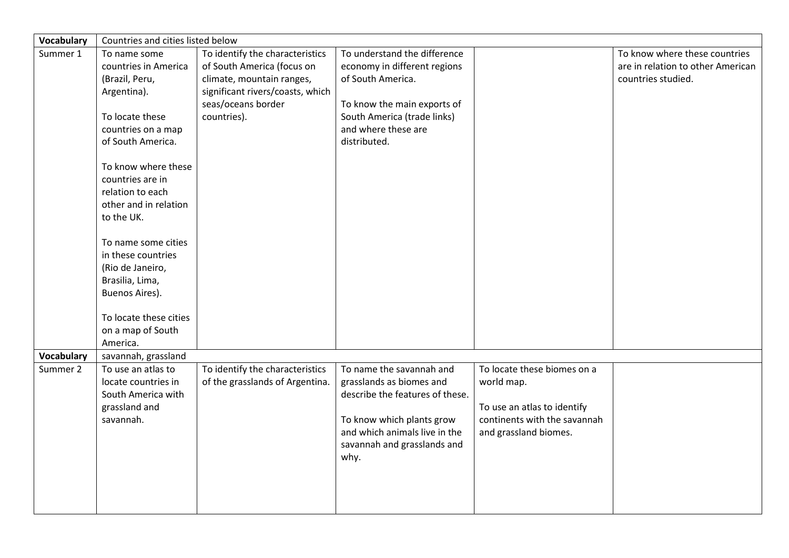| Vocabulary        | Countries and cities listed below |                                  |                                 |                              |                                   |
|-------------------|-----------------------------------|----------------------------------|---------------------------------|------------------------------|-----------------------------------|
| Summer 1          | To name some                      | To identify the characteristics  | To understand the difference    |                              | To know where these countries     |
|                   | countries in America              | of South America (focus on       | economy in different regions    |                              | are in relation to other American |
|                   | (Brazil, Peru,                    | climate, mountain ranges,        | of South America.               |                              | countries studied.                |
|                   | Argentina).                       | significant rivers/coasts, which |                                 |                              |                                   |
|                   |                                   | seas/oceans border               | To know the main exports of     |                              |                                   |
|                   | To locate these                   | countries).                      | South America (trade links)     |                              |                                   |
|                   | countries on a map                |                                  | and where these are             |                              |                                   |
|                   | of South America.                 |                                  | distributed.                    |                              |                                   |
|                   | To know where these               |                                  |                                 |                              |                                   |
|                   | countries are in                  |                                  |                                 |                              |                                   |
|                   | relation to each                  |                                  |                                 |                              |                                   |
|                   | other and in relation             |                                  |                                 |                              |                                   |
|                   | to the UK.                        |                                  |                                 |                              |                                   |
|                   | To name some cities               |                                  |                                 |                              |                                   |
|                   | in these countries                |                                  |                                 |                              |                                   |
|                   | (Rio de Janeiro,                  |                                  |                                 |                              |                                   |
|                   | Brasilia, Lima,                   |                                  |                                 |                              |                                   |
|                   | Buenos Aires).                    |                                  |                                 |                              |                                   |
|                   |                                   |                                  |                                 |                              |                                   |
|                   | To locate these cities            |                                  |                                 |                              |                                   |
|                   | on a map of South                 |                                  |                                 |                              |                                   |
|                   | America.                          |                                  |                                 |                              |                                   |
| <b>Vocabulary</b> | savannah, grassland               |                                  |                                 |                              |                                   |
| Summer 2          | To use an atlas to                | To identify the characteristics  | To name the savannah and        | To locate these biomes on a  |                                   |
|                   | locate countries in               | of the grasslands of Argentina.  | grasslands as biomes and        | world map.                   |                                   |
|                   | South America with                |                                  | describe the features of these. |                              |                                   |
|                   | grassland and                     |                                  |                                 | To use an atlas to identify  |                                   |
|                   | savannah.                         |                                  | To know which plants grow       | continents with the savannah |                                   |
|                   |                                   |                                  | and which animals live in the   | and grassland biomes.        |                                   |
|                   |                                   |                                  | savannah and grasslands and     |                              |                                   |
|                   |                                   |                                  | why.                            |                              |                                   |
|                   |                                   |                                  |                                 |                              |                                   |
|                   |                                   |                                  |                                 |                              |                                   |
|                   |                                   |                                  |                                 |                              |                                   |
|                   |                                   |                                  |                                 |                              |                                   |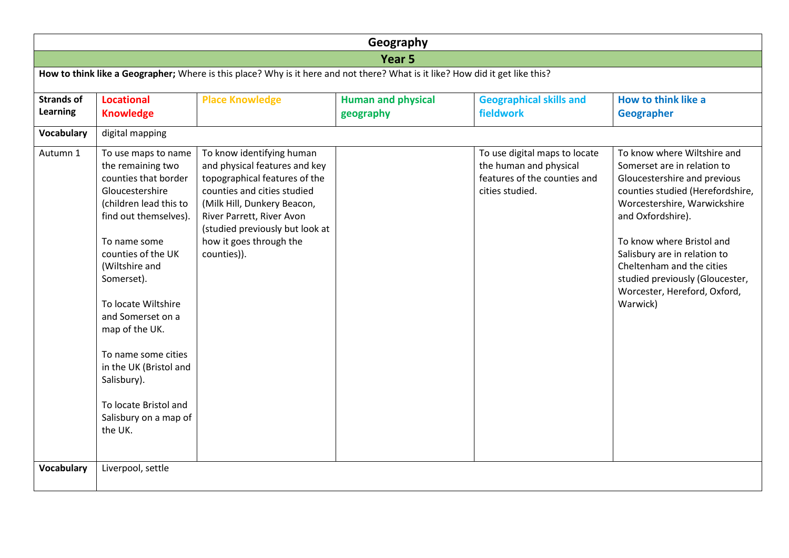|                                                    | Geography                                                                                                                                                                                                                                                                                                                                                                                               |                                                                                                                                                                                                                                                                     |                                        |                                                                                                            |                                                                                                                                                                                                                                                                                                                                                              |  |  |
|----------------------------------------------------|---------------------------------------------------------------------------------------------------------------------------------------------------------------------------------------------------------------------------------------------------------------------------------------------------------------------------------------------------------------------------------------------------------|---------------------------------------------------------------------------------------------------------------------------------------------------------------------------------------------------------------------------------------------------------------------|----------------------------------------|------------------------------------------------------------------------------------------------------------|--------------------------------------------------------------------------------------------------------------------------------------------------------------------------------------------------------------------------------------------------------------------------------------------------------------------------------------------------------------|--|--|
|                                                    | Year <sub>5</sub>                                                                                                                                                                                                                                                                                                                                                                                       |                                                                                                                                                                                                                                                                     |                                        |                                                                                                            |                                                                                                                                                                                                                                                                                                                                                              |  |  |
|                                                    |                                                                                                                                                                                                                                                                                                                                                                                                         | How to think like a Geographer; Where is this place? Why is it here and not there? What is it like? How did it get like this?                                                                                                                                       |                                        |                                                                                                            |                                                                                                                                                                                                                                                                                                                                                              |  |  |
| <b>Strands of</b><br>Learning<br><b>Vocabulary</b> | <b>Locational</b><br><b>Knowledge</b><br>digital mapping                                                                                                                                                                                                                                                                                                                                                | <b>Place Knowledge</b>                                                                                                                                                                                                                                              | <b>Human and physical</b><br>geography | <b>Geographical skills and</b><br>fieldwork                                                                | How to think like a<br><b>Geographer</b>                                                                                                                                                                                                                                                                                                                     |  |  |
|                                                    |                                                                                                                                                                                                                                                                                                                                                                                                         |                                                                                                                                                                                                                                                                     |                                        |                                                                                                            |                                                                                                                                                                                                                                                                                                                                                              |  |  |
| Autumn 1                                           | To use maps to name<br>the remaining two<br>counties that border<br>Gloucestershire<br>(children lead this to<br>find out themselves).<br>To name some<br>counties of the UK<br>(Wiltshire and<br>Somerset).<br>To locate Wiltshire<br>and Somerset on a<br>map of the UK.<br>To name some cities<br>in the UK (Bristol and<br>Salisbury).<br>To locate Bristol and<br>Salisbury on a map of<br>the UK. | To know identifying human<br>and physical features and key<br>topographical features of the<br>counties and cities studied<br>(Milk Hill, Dunkery Beacon,<br>River Parrett, River Avon<br>(studied previously but look at<br>how it goes through the<br>counties)). |                                        | To use digital maps to locate<br>the human and physical<br>features of the counties and<br>cities studied. | To know where Wiltshire and<br>Somerset are in relation to<br>Gloucestershire and previous<br>counties studied (Herefordshire,<br>Worcestershire, Warwickshire<br>and Oxfordshire).<br>To know where Bristol and<br>Salisbury are in relation to<br>Cheltenham and the cities<br>studied previously (Gloucester,<br>Worcester, Hereford, Oxford,<br>Warwick) |  |  |
| <b>Vocabulary</b>                                  | Liverpool, settle                                                                                                                                                                                                                                                                                                                                                                                       |                                                                                                                                                                                                                                                                     |                                        |                                                                                                            |                                                                                                                                                                                                                                                                                                                                                              |  |  |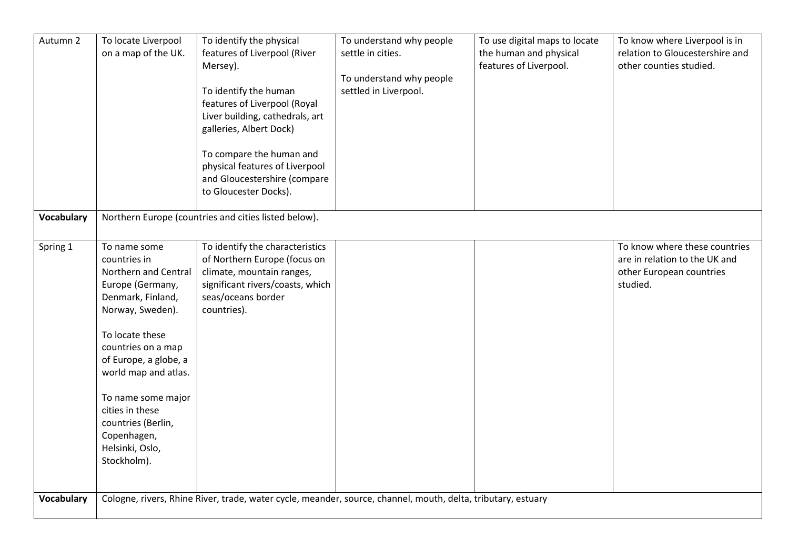| Autumn 2          | To locate Liverpool<br>on a map of the UK.                                                                                                                                                                                                                                                                                  | To identify the physical<br>features of Liverpool (River<br>Mersey).<br>To identify the human<br>features of Liverpool (Royal<br>Liver building, cathedrals, art<br>galleries, Albert Dock)<br>To compare the human and<br>physical features of Liverpool<br>and Gloucestershire (compare<br>to Gloucester Docks). | To understand why people<br>settle in cities.<br>To understand why people<br>settled in Liverpool. | To use digital maps to locate<br>the human and physical<br>features of Liverpool. | To know where Liverpool is in<br>relation to Gloucestershire and<br>other counties studied.            |
|-------------------|-----------------------------------------------------------------------------------------------------------------------------------------------------------------------------------------------------------------------------------------------------------------------------------------------------------------------------|--------------------------------------------------------------------------------------------------------------------------------------------------------------------------------------------------------------------------------------------------------------------------------------------------------------------|----------------------------------------------------------------------------------------------------|-----------------------------------------------------------------------------------|--------------------------------------------------------------------------------------------------------|
| <b>Vocabulary</b> |                                                                                                                                                                                                                                                                                                                             | Northern Europe (countries and cities listed below).                                                                                                                                                                                                                                                               |                                                                                                    |                                                                                   |                                                                                                        |
| Spring 1          | To name some<br>countries in<br>Northern and Central<br>Europe (Germany,<br>Denmark, Finland,<br>Norway, Sweden).<br>To locate these<br>countries on a map<br>of Europe, a globe, a<br>world map and atlas.<br>To name some major<br>cities in these<br>countries (Berlin,<br>Copenhagen,<br>Helsinki, Oslo,<br>Stockholm). | To identify the characteristics<br>of Northern Europe (focus on<br>climate, mountain ranges,<br>significant rivers/coasts, which<br>seas/oceans border<br>countries).                                                                                                                                              |                                                                                                    |                                                                                   | To know where these countries<br>are in relation to the UK and<br>other European countries<br>studied. |
| <b>Vocabulary</b> | Cologne, rivers, Rhine River, trade, water cycle, meander, source, channel, mouth, delta, tributary, estuary                                                                                                                                                                                                                |                                                                                                                                                                                                                                                                                                                    |                                                                                                    |                                                                                   |                                                                                                        |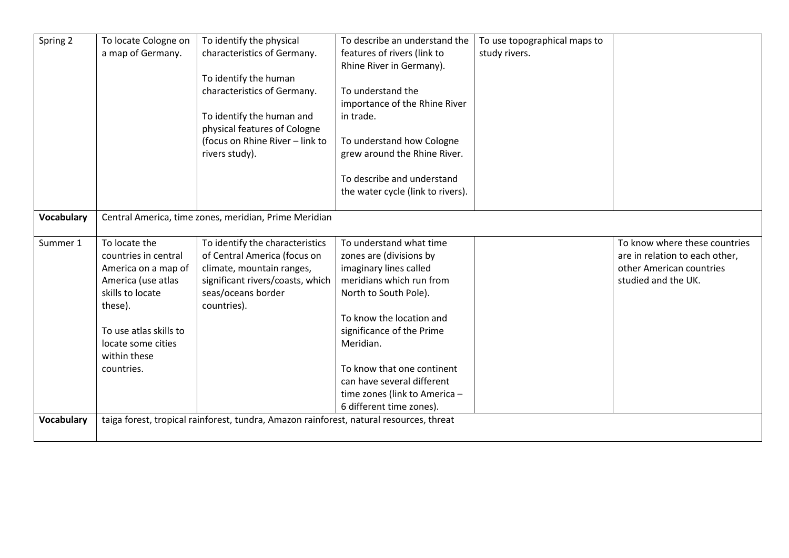| Spring 2          | To locate Cologne on   | To identify the physical                                                                | To describe an understand the     | To use topographical maps to |                                |
|-------------------|------------------------|-----------------------------------------------------------------------------------------|-----------------------------------|------------------------------|--------------------------------|
|                   | a map of Germany.      | characteristics of Germany.                                                             | features of rivers (link to       | study rivers.                |                                |
|                   |                        |                                                                                         | Rhine River in Germany).          |                              |                                |
|                   |                        | To identify the human                                                                   |                                   |                              |                                |
|                   |                        | characteristics of Germany.                                                             | To understand the                 |                              |                                |
|                   |                        |                                                                                         | importance of the Rhine River     |                              |                                |
|                   |                        | To identify the human and                                                               | in trade.                         |                              |                                |
|                   |                        | physical features of Cologne                                                            |                                   |                              |                                |
|                   |                        | (focus on Rhine River - link to                                                         |                                   |                              |                                |
|                   |                        |                                                                                         | To understand how Cologne         |                              |                                |
|                   |                        | rivers study).                                                                          | grew around the Rhine River.      |                              |                                |
|                   |                        |                                                                                         | To describe and understand        |                              |                                |
|                   |                        |                                                                                         | the water cycle (link to rivers). |                              |                                |
|                   |                        |                                                                                         |                                   |                              |                                |
| <b>Vocabulary</b> |                        | Central America, time zones, meridian, Prime Meridian                                   |                                   |                              |                                |
|                   |                        |                                                                                         |                                   |                              |                                |
| Summer 1          | To locate the          | To identify the characteristics                                                         | To understand what time           |                              | To know where these countries  |
|                   | countries in central   | of Central America (focus on                                                            | zones are (divisions by           |                              | are in relation to each other, |
|                   | America on a map of    | climate, mountain ranges,                                                               | imaginary lines called            |                              | other American countries       |
|                   | America (use atlas     | significant rivers/coasts, which                                                        | meridians which run from          |                              | studied and the UK.            |
|                   | skills to locate       | seas/oceans border                                                                      | North to South Pole).             |                              |                                |
|                   | these).                | countries).                                                                             |                                   |                              |                                |
|                   |                        |                                                                                         | To know the location and          |                              |                                |
|                   | To use atlas skills to |                                                                                         | significance of the Prime         |                              |                                |
|                   | locate some cities     |                                                                                         | Meridian.                         |                              |                                |
|                   | within these           |                                                                                         |                                   |                              |                                |
|                   | countries.             |                                                                                         | To know that one continent        |                              |                                |
|                   |                        |                                                                                         | can have several different        |                              |                                |
|                   |                        |                                                                                         | time zones (link to America -     |                              |                                |
|                   |                        |                                                                                         | 6 different time zones).          |                              |                                |
| <b>Vocabulary</b> |                        | taiga forest, tropical rainforest, tundra, Amazon rainforest, natural resources, threat |                                   |                              |                                |
|                   |                        |                                                                                         |                                   |                              |                                |
|                   |                        |                                                                                         |                                   |                              |                                |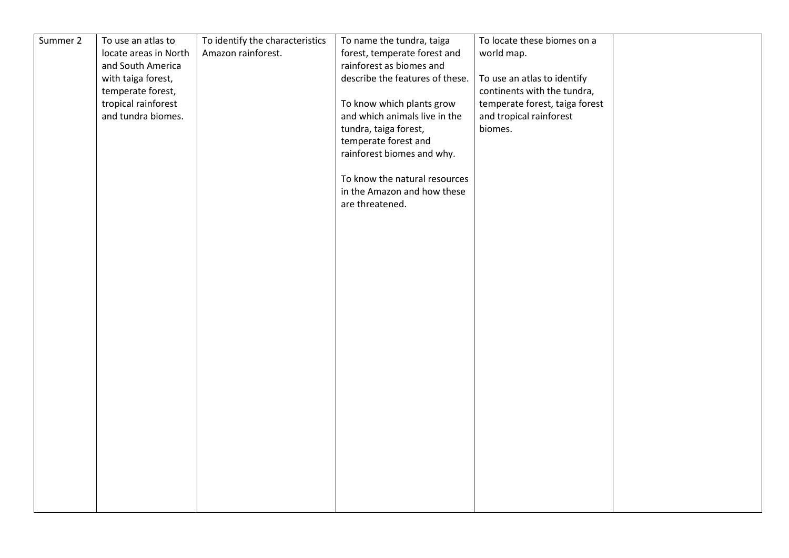| Summer 2 | To use an atlas to    | To identify the characteristics | To name the tundra, taiga                                    | To locate these biomes on a    |  |
|----------|-----------------------|---------------------------------|--------------------------------------------------------------|--------------------------------|--|
|          | locate areas in North | Amazon rainforest.              | forest, temperate forest and                                 | world map.                     |  |
|          | and South America     |                                 | rainforest as biomes and                                     |                                |  |
|          | with taiga forest,    |                                 | describe the features of these.                              | To use an atlas to identify    |  |
|          | temperate forest,     |                                 |                                                              | continents with the tundra,    |  |
|          | tropical rainforest   |                                 | To know which plants grow                                    | temperate forest, taiga forest |  |
|          | and tundra biomes.    |                                 | and which animals live in the                                | and tropical rainforest        |  |
|          |                       |                                 | tundra, taiga forest,                                        | biomes.                        |  |
|          |                       |                                 | temperate forest and                                         |                                |  |
|          |                       |                                 | rainforest biomes and why.                                   |                                |  |
|          |                       |                                 |                                                              |                                |  |
|          |                       |                                 | To know the natural resources<br>in the Amazon and how these |                                |  |
|          |                       |                                 | are threatened.                                              |                                |  |
|          |                       |                                 |                                                              |                                |  |
|          |                       |                                 |                                                              |                                |  |
|          |                       |                                 |                                                              |                                |  |
|          |                       |                                 |                                                              |                                |  |
|          |                       |                                 |                                                              |                                |  |
|          |                       |                                 |                                                              |                                |  |
|          |                       |                                 |                                                              |                                |  |
|          |                       |                                 |                                                              |                                |  |
|          |                       |                                 |                                                              |                                |  |
|          |                       |                                 |                                                              |                                |  |
|          |                       |                                 |                                                              |                                |  |
|          |                       |                                 |                                                              |                                |  |
|          |                       |                                 |                                                              |                                |  |
|          |                       |                                 |                                                              |                                |  |
|          |                       |                                 |                                                              |                                |  |
|          |                       |                                 |                                                              |                                |  |
|          |                       |                                 |                                                              |                                |  |
|          |                       |                                 |                                                              |                                |  |
|          |                       |                                 |                                                              |                                |  |
|          |                       |                                 |                                                              |                                |  |
|          |                       |                                 |                                                              |                                |  |
|          |                       |                                 |                                                              |                                |  |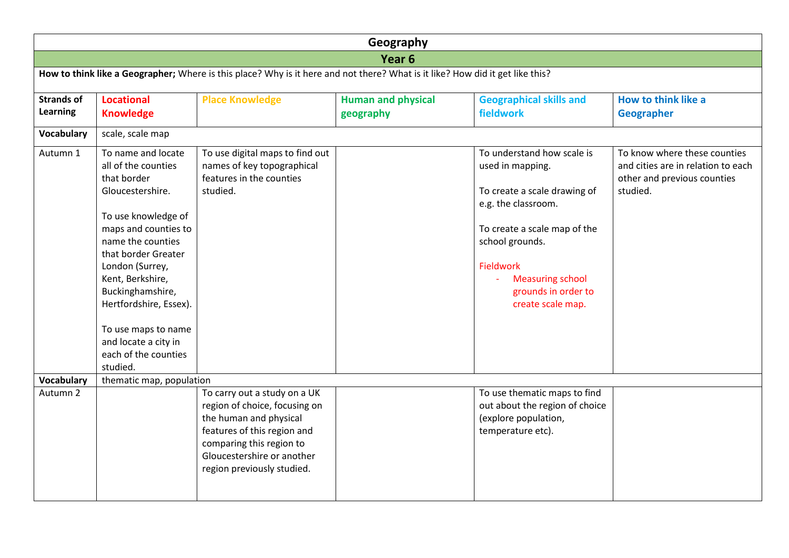|                               | Geography                                                                                                                                                                                                                                                                                                                           |                                                                                                                                                                                                                |                                        |                                                                                                                                                                                                                                                     |                                                                                                               |  |  |
|-------------------------------|-------------------------------------------------------------------------------------------------------------------------------------------------------------------------------------------------------------------------------------------------------------------------------------------------------------------------------------|----------------------------------------------------------------------------------------------------------------------------------------------------------------------------------------------------------------|----------------------------------------|-----------------------------------------------------------------------------------------------------------------------------------------------------------------------------------------------------------------------------------------------------|---------------------------------------------------------------------------------------------------------------|--|--|
|                               | Year <sub>6</sub>                                                                                                                                                                                                                                                                                                                   |                                                                                                                                                                                                                |                                        |                                                                                                                                                                                                                                                     |                                                                                                               |  |  |
|                               |                                                                                                                                                                                                                                                                                                                                     | How to think like a Geographer; Where is this place? Why is it here and not there? What is it like? How did it get like this?                                                                                  |                                        |                                                                                                                                                                                                                                                     |                                                                                                               |  |  |
| <b>Strands of</b><br>Learning | <b>Locational</b><br><b>Knowledge</b>                                                                                                                                                                                                                                                                                               | <b>Place Knowledge</b>                                                                                                                                                                                         | <b>Human and physical</b><br>geography | <b>Geographical skills and</b><br>fieldwork                                                                                                                                                                                                         | How to think like a<br>Geographer                                                                             |  |  |
| Vocabulary                    | scale, scale map                                                                                                                                                                                                                                                                                                                    |                                                                                                                                                                                                                |                                        |                                                                                                                                                                                                                                                     |                                                                                                               |  |  |
| Autumn 1                      | To name and locate<br>all of the counties<br>that border<br>Gloucestershire.<br>To use knowledge of<br>maps and counties to<br>name the counties<br>that border Greater<br>London (Surrey,<br>Kent, Berkshire,<br>Buckinghamshire,<br>Hertfordshire, Essex).<br>To use maps to name<br>and locate a city in<br>each of the counties | To use digital maps to find out<br>names of key topographical<br>features in the counties<br>studied.                                                                                                          |                                        | To understand how scale is<br>used in mapping.<br>To create a scale drawing of<br>e.g. the classroom.<br>To create a scale map of the<br>school grounds.<br><b>Fieldwork</b><br><b>Measuring school</b><br>grounds in order to<br>create scale map. | To know where these counties<br>and cities are in relation to each<br>other and previous counties<br>studied. |  |  |
| <b>Vocabulary</b>             | studied.<br>thematic map, population                                                                                                                                                                                                                                                                                                |                                                                                                                                                                                                                |                                        |                                                                                                                                                                                                                                                     |                                                                                                               |  |  |
| Autumn 2                      |                                                                                                                                                                                                                                                                                                                                     | To carry out a study on a UK<br>region of choice, focusing on<br>the human and physical<br>features of this region and<br>comparing this region to<br>Gloucestershire or another<br>region previously studied. |                                        | To use thematic maps to find<br>out about the region of choice<br>(explore population,<br>temperature etc).                                                                                                                                         |                                                                                                               |  |  |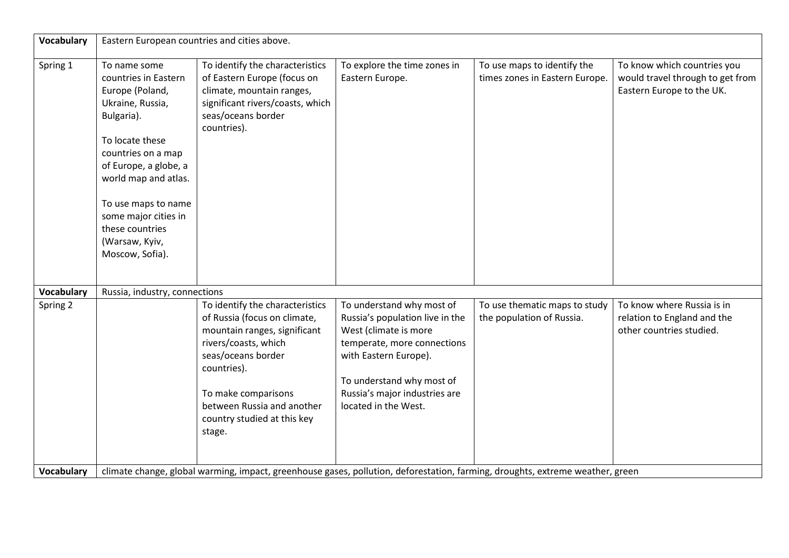| <b>Vocabulary</b> |                                                                                                                                                                                                                                                                                            | Eastern European countries and cities above.                                                                                                                                                                                                               |                                                                                                                                                                                                                                     |                                                               |                                                                                              |  |
|-------------------|--------------------------------------------------------------------------------------------------------------------------------------------------------------------------------------------------------------------------------------------------------------------------------------------|------------------------------------------------------------------------------------------------------------------------------------------------------------------------------------------------------------------------------------------------------------|-------------------------------------------------------------------------------------------------------------------------------------------------------------------------------------------------------------------------------------|---------------------------------------------------------------|----------------------------------------------------------------------------------------------|--|
| Spring 1          | To name some<br>countries in Eastern<br>Europe (Poland,<br>Ukraine, Russia,<br>Bulgaria).<br>To locate these<br>countries on a map<br>of Europe, a globe, a<br>world map and atlas.<br>To use maps to name<br>some major cities in<br>these countries<br>(Warsaw, Kyiv,<br>Moscow, Sofia). | To identify the characteristics<br>of Eastern Europe (focus on<br>climate, mountain ranges,<br>significant rivers/coasts, which<br>seas/oceans border<br>countries).                                                                                       | To explore the time zones in<br>Eastern Europe.                                                                                                                                                                                     | To use maps to identify the<br>times zones in Eastern Europe. | To know which countries you<br>would travel through to get from<br>Eastern Europe to the UK. |  |
| <b>Vocabulary</b> | Russia, industry, connections                                                                                                                                                                                                                                                              |                                                                                                                                                                                                                                                            |                                                                                                                                                                                                                                     |                                                               |                                                                                              |  |
| Spring 2          |                                                                                                                                                                                                                                                                                            | To identify the characteristics<br>of Russia (focus on climate,<br>mountain ranges, significant<br>rivers/coasts, which<br>seas/oceans border<br>countries).<br>To make comparisons<br>between Russia and another<br>country studied at this key<br>stage. | To understand why most of<br>Russia's population live in the<br>West (climate is more<br>temperate, more connections<br>with Eastern Europe).<br>To understand why most of<br>Russia's major industries are<br>located in the West. | To use thematic maps to study<br>the population of Russia.    | To know where Russia is in<br>relation to England and the<br>other countries studied.        |  |
| <b>Vocabulary</b> |                                                                                                                                                                                                                                                                                            | climate change, global warming, impact, greenhouse gases, pollution, deforestation, farming, droughts, extreme weather, green                                                                                                                              |                                                                                                                                                                                                                                     |                                                               |                                                                                              |  |